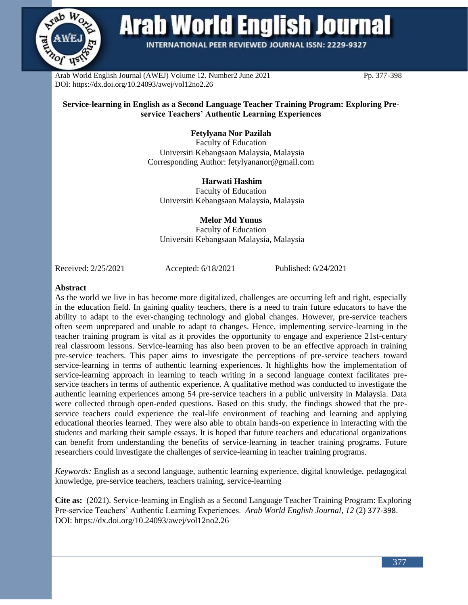

# **Arab World English Journal**

**INTERNATIONAL PEER REVIEWED JOURNAL ISSN: 2229-9327** 

Arab World English Journal (AWEJ) Volume 12. Number2 June 2021 Pp. 377-398 DOI: https://dx.doi.org/10.24093/awej/vol12no2.26

#### **Service-learning in English as a Second Language Teacher Training Program: Exploring Preservice Teachers' Authentic Learning Experiences**

**Fetylyana Nor Pazilah** Faculty of Education Universiti Kebangsaan Malaysia, Malaysia Corresponding Author: fetylyananor@gmail.com

**Harwati Hashim** Faculty of Education Universiti Kebangsaan Malaysia, Malaysia

**Melor Md Yunus** Faculty of Education Universiti Kebangsaan Malaysia, Malaysia

Received: 2/25/2021 Accepted: 6/18/2021 Published: 6/24/2021

#### **Abstract**

As the world we live in has become more digitalized, challenges are occurring left and right, especially in the education field. In gaining quality teachers, there is a need to train future educators to have the ability to adapt to the ever-changing technology and global changes. However, pre-service teachers often seem unprepared and unable to adapt to changes. Hence, implementing service-learning in the teacher training program is vital as it provides the opportunity to engage and experience 21st-century real classroom lessons. Service-learning has also been proven to be an effective approach in training pre-service teachers. This paper aims to investigate the perceptions of pre-service teachers toward service-learning in terms of authentic learning experiences. It highlights how the implementation of service-learning approach in learning to teach writing in a second language context facilitates preservice teachers in terms of authentic experience. A qualitative method was conducted to investigate the authentic learning experiences among 54 pre-service teachers in a public university in Malaysia. Data were collected through open-ended questions. Based on this study, the findings showed that the preservice teachers could experience the real-life environment of teaching and learning and applying educational theories learned. They were also able to obtain hands-on experience in interacting with the students and marking their sample essays. It is hoped that future teachers and educational organizations can benefit from understanding the benefits of service-learning in teacher training programs. Future researchers could investigate the challenges of service-learning in teacher training programs.

*Keywords:* English as a second language, authentic learning experience, digital knowledge, pedagogical knowledge, pre-service teachers, teachers training, service-learning

**Cite as:** (2021). Service-learning in English as a Second Language Teacher Training Program: Exploring Pre-service Teachers' Authentic Learning Experiences. *Arab World English Journal, 12* (2) 377-398. DOI: https://dx.doi.org/10.24093/awej/vol12no2.26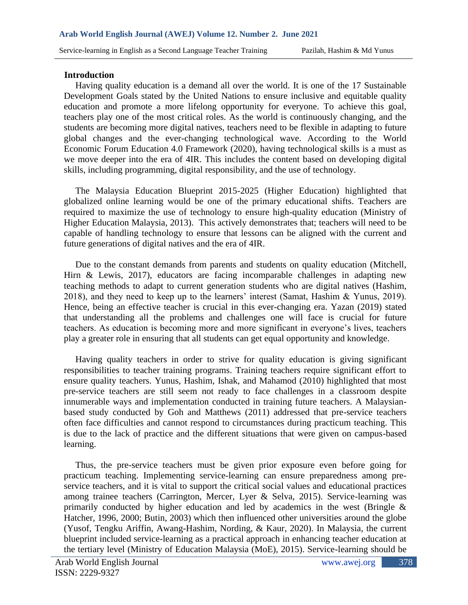#### **Introduction**

 Having quality education is a demand all over the world. It is one of the 17 Sustainable Development Goals stated by the United Nations to ensure inclusive and equitable quality education and promote a more lifelong opportunity for everyone. To achieve this goal, teachers play one of the most critical roles. As the world is continuously changing, and the students are becoming more digital natives, teachers need to be flexible in adapting to future global changes and the ever-changing technological wave. According to the World Economic Forum Education 4.0 Framework (2020), having technological skills is a must as we move deeper into the era of 4IR. This includes the content based on developing digital skills, including programming, digital responsibility, and the use of technology.

 The Malaysia Education Blueprint 2015-2025 (Higher Education) highlighted that globalized online learning would be one of the primary educational shifts. Teachers are required to maximize the use of technology to ensure high-quality education (Ministry of Higher Education Malaysia, 2013). This actively demonstrates that; teachers will need to be capable of handling technology to ensure that lessons can be aligned with the current and future generations of digital natives and the era of 4IR.

 Due to the constant demands from parents and students on quality education (Mitchell, Hirn & Lewis, 2017), educators are facing incomparable challenges in adapting new teaching methods to adapt to current generation students who are digital natives (Hashim, 2018), and they need to keep up to the learners' interest (Samat, Hashim & Yunus, 2019). Hence, being an effective teacher is crucial in this ever-changing era. Yazan (2019) stated that understanding all the problems and challenges one will face is crucial for future teachers. As education is becoming more and more significant in everyone's lives, teachers play a greater role in ensuring that all students can get equal opportunity and knowledge.

 Having quality teachers in order to strive for quality education is giving significant responsibilities to teacher training programs. Training teachers require significant effort to ensure quality teachers. Yunus, Hashim, Ishak, and Mahamod (2010) highlighted that most pre-service teachers are still seem not ready to face challenges in a classroom despite innumerable ways and implementation conducted in training future teachers. A Malaysianbased study conducted by Goh and Matthews (2011) addressed that pre-service teachers often face difficulties and cannot respond to circumstances during practicum teaching. This is due to the lack of practice and the different situations that were given on campus-based learning.

 Thus, the pre-service teachers must be given prior exposure even before going for practicum teaching. Implementing service-learning can ensure preparedness among preservice teachers, and it is vital to support the critical social values and educational practices among trainee teachers (Carrington, Mercer, Lyer & Selva, 2015). Service-learning was primarily conducted by higher education and led by academics in the west (Bringle & Hatcher, 1996, 2000; Butin, 2003) which then influenced other universities around the globe (Yusof, Tengku Ariffin, Awang-Hashim, Nording, & Kaur, 2020). In Malaysia, the current blueprint included service-learning as a practical approach in enhancing teacher education at the tertiary level (Ministry of Education Malaysia (MoE), 2015). Service-learning should be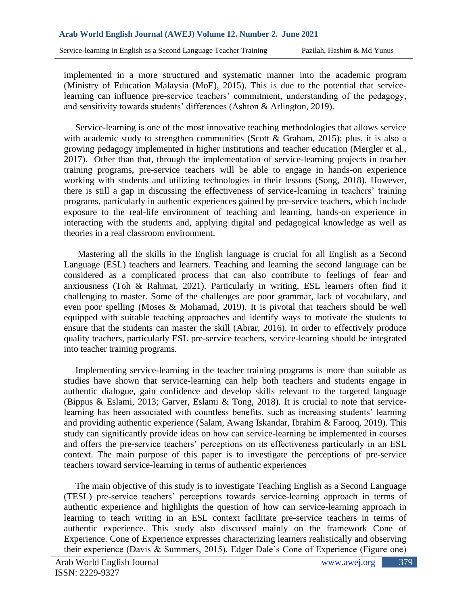implemented in a more structured and systematic manner into the academic program (Ministry of Education Malaysia (MoE), 2015). This is due to the potential that servicelearning can influence pre-service teachers' commitment, understanding of the pedagogy, and sensitivity towards students' differences (Ashton & Arlington, 2019).

 Service-learning is one of the most innovative teaching methodologies that allows service with academic study to strengthen communities (Scott & Graham, 2015); plus, it is also a growing pedagogy implemented in higher institutions and teacher education (Mergler et al., 2017). Other than that, through the implementation of service-learning projects in teacher training programs, pre-service teachers will be able to engage in hands-on experience working with students and utilizing technologies in their lessons (Song, 2018). However, there is still a gap in discussing the effectiveness of service-learning in teachers' training programs, particularly in authentic experiences gained by pre-service teachers, which include exposure to the real-life environment of teaching and learning, hands-on experience in interacting with the students and, applying digital and pedagogical knowledge as well as theories in a real classroom environment.

 Mastering all the skills in the English language is crucial for all English as a Second Language (ESL) teachers and learners. Teaching and learning the second language can be considered as a complicated process that can also contribute to feelings of fear and anxiousness (Toh & Rahmat, 2021). Particularly in writing, ESL learners often find it challenging to master. Some of the challenges are poor grammar, lack of vocabulary, and even poor spelling (Moses & Mohamad, 2019). It is pivotal that teachers should be well equipped with suitable teaching approaches and identify ways to motivate the students to ensure that the students can master the skill (Abrar, 2016). In order to effectively produce quality teachers, particularly ESL pre-service teachers, service-learning should be integrated into teacher training programs.

 Implementing service-learning in the teacher training programs is more than suitable as studies have shown that service-learning can help both teachers and students engage in authentic dialogue, gain confidence and develop skills relevant to the targeted language (Bippus & Eslami, 2013; Garver, Eslami & Tong, 2018). It is crucial to note that servicelearning has been associated with countless benefits, such as increasing students' learning and providing authentic experience (Salam, Awang Iskandar, Ibrahim & Farooq, 2019). This study can significantly provide ideas on how can service-learning be implemented in courses and offers the pre-service teachers' perceptions on its effectiveness particularly in an ESL context. The main purpose of this paper is to investigate the perceptions of pre-service teachers toward service-learning in terms of authentic experiences

 The main objective of this study is to investigate Teaching English as a Second Language (TESL) pre-service teachers' perceptions towards service-learning approach in terms of authentic experience and highlights the question of how can service-learning approach in learning to teach writing in an ESL context facilitate pre-service teachers in terms of authentic experience. This study also discussed mainly on the framework Cone of Experience. Cone of Experience expresses characterizing learners realistically and observing their experience (Davis & Summers, 2015). Edger Dale's Cone of Experience (Figure one)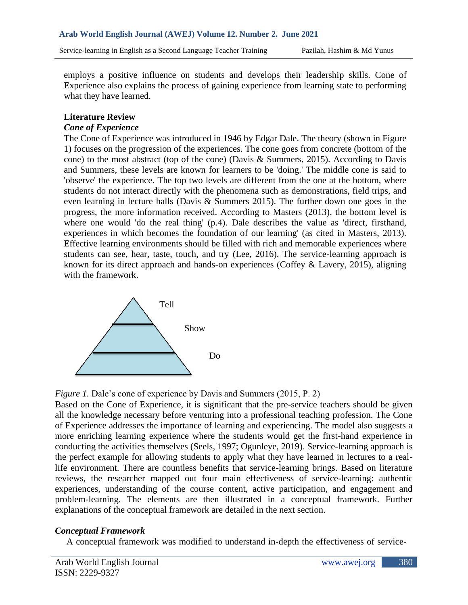employs a positive influence on students and develops their leadership skills. Cone of Experience also explains the process of gaining experience from learning state to performing what they have learned.

### **Literature Review**

#### *Cone of Experience*

The Cone of Experience was introduced in 1946 by Edgar Dale. The theory (shown in Figure 1) focuses on the progression of the experiences. The cone goes from concrete (bottom of the cone) to the most abstract (top of the cone) (Davis & Summers, 2015). According to Davis and Summers, these levels are known for learners to be 'doing.' The middle cone is said to 'observe' the experience. The top two levels are different from the one at the bottom, where students do not interact directly with the phenomena such as demonstrations, field trips, and even learning in lecture halls (Davis & Summers 2015). The further down one goes in the progress, the more information received. According to Masters (2013), the bottom level is where one would 'do the real thing' (p.4). Dale describes the value as 'direct, firsthand, experiences in which becomes the foundation of our learning' (as cited in Masters, 2013). Effective learning environments should be filled with rich and memorable experiences where students can see, hear, taste, touch, and try (Lee, 2016). The service-learning approach is known for its direct approach and hands-on experiences (Coffey & Lavery, 2015), aligning with the framework.



*Figure 1.* Dale's cone of experience by Davis and Summers (2015, P. 2)

Based on the Cone of Experience, it is significant that the pre-service teachers should be given all the knowledge necessary before venturing into a professional teaching profession. The Cone of Experience addresses the importance of learning and experiencing. The model also suggests a more enriching learning experience where the students would get the first-hand experience in conducting the activities themselves (Seels, 1997; Ogunleye, 2019). Service-learning approach is the perfect example for allowing students to apply what they have learned in lectures to a reallife environment. There are countless benefits that service-learning brings. Based on literature reviews, the researcher mapped out four main effectiveness of service-learning: authentic experiences, understanding of the course content, active participation, and engagement and problem-learning. The elements are then illustrated in a conceptual framework. Further explanations of the conceptual framework are detailed in the next section.

## *Conceptual Framework*

A conceptual framework was modified to understand in-depth the effectiveness of service-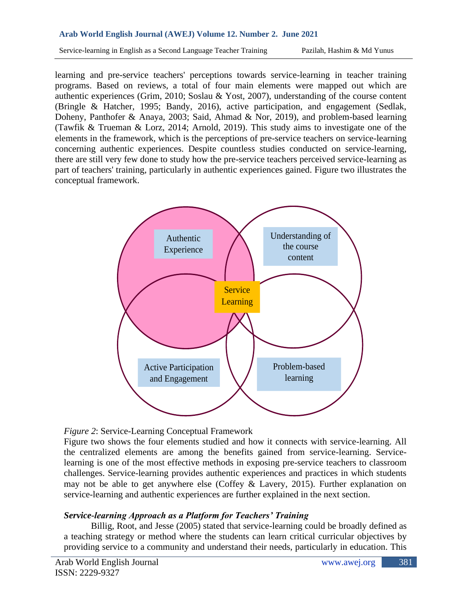Service-learning in English as a Second Language Teacher Training Pazilah, Hashim & Md Yunus

learning and pre-service teachers' perceptions towards service-learning in teacher training programs. Based on reviews, a total of four main elements were mapped out which are authentic experiences (Grim, 2010; Soslau & Yost, 2007), understanding of the course content (Bringle & Hatcher, 1995; Bandy, 2016), active participation, and engagement (Sedlak, Doheny, Panthofer & Anaya, 2003; Said, Ahmad & Nor, 2019), and problem-based learning (Tawfik & Trueman & Lorz, 2014; Arnold, 2019). This study aims to investigate one of the elements in the framework, which is the perceptions of pre-service teachers on service-learning concerning authentic experiences. Despite countless studies conducted on service-learning, there are still very few done to study how the pre-service teachers perceived service-learning as part of teachers' training, particularly in authentic experiences gained. Figure two illustrates the conceptual framework.



*Figure 2*: Service-Learning Conceptual Framework

Figure two shows the four elements studied and how it connects with service-learning. All the centralized elements are among the benefits gained from service-learning. Servicelearning is one of the most effective methods in exposing pre-service teachers to classroom challenges. Service-learning provides authentic experiences and practices in which students may not be able to get anywhere else (Coffey & Lavery, 2015). Further explanation on service-learning and authentic experiences are further explained in the next section.

## *Service-learning Approach as a Platform for Teachers' Training*

Billig, Root, and Jesse (2005) stated that service-learning could be broadly defined as a teaching strategy or method where the students can learn critical curricular objectives by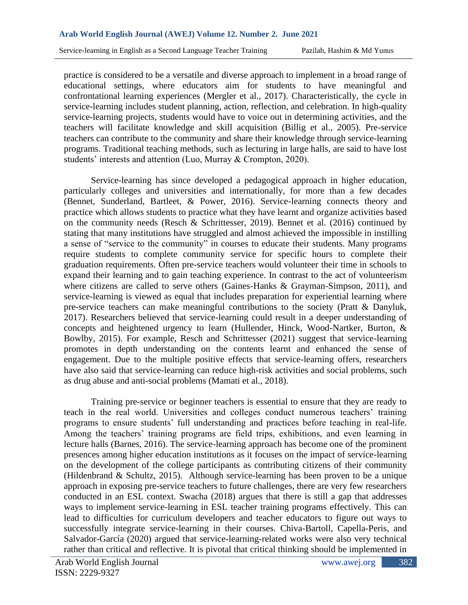practice is considered to be a versatile and diverse approach to implement in a broad range of educational settings, where educators aim for students to have meaningful and confrontational learning experiences (Mergler et al., 2017). Characteristically, the cycle in service-learning includes student planning, action, reflection, and celebration. In high-quality service-learning projects, students would have to voice out in determining activities, and the teachers will facilitate knowledge and skill acquisition (Billig et al., 2005). Pre-service teachers can contribute to the community and share their knowledge through service-learning programs. Traditional teaching methods, such as lecturing in large halls, are said to have lost students' interests and attention (Luo, Murray & Crompton, 2020).

Service-learning has since developed a pedagogical approach in higher education, particularly colleges and universities and internationally, for more than a few decades (Bennet, Sunderland, Bartleet, & Power, 2016). Service-learning connects theory and practice which allows students to practice what they have learnt and organize activities based on the community needs (Resch & Schrittesser, 2019). Bennet et al. (2016) continued by stating that many institutions have struggled and almost achieved the impossible in instilling a sense of "service to the community" in courses to educate their students. Many programs require students to complete community service for specific hours to complete their graduation requirements. Often pre-service teachers would volunteer their time in schools to expand their learning and to gain teaching experience. In contrast to the act of volunteerism where citizens are called to serve others (Gaines-Hanks & Grayman-Simpson, 2011), and service-learning is viewed as equal that includes preparation for experiential learning where pre-service teachers can make meaningful contributions to the society (Pratt & Danyluk, 2017). Researchers believed that service-learning could result in a deeper understanding of concepts and heightened urgency to learn (Hullender, Hinck, Wood-Nartker, Burton, & Bowlby, 2015). For example, Resch and Schrittesser (2021) suggest that service-learning promotes in depth understanding on the contents learnt and enhanced the sense of engagement. Due to the multiple positive effects that service-learning offers, researchers have also said that service-learning can reduce high-risk activities and social problems, such as drug abuse and anti-social problems (Mamati et al., 2018).

Training pre-service or beginner teachers is essential to ensure that they are ready to teach in the real world. Universities and colleges conduct numerous teachers' training programs to ensure students' full understanding and practices before teaching in real-life. Among the teachers' training programs are field trips, exhibitions, and even learning in lecture halls (Barnes, 2016). The service-learning approach has become one of the prominent presences among higher education institutions as it focuses on the impact of service-learning on the development of the college participants as contributing citizens of their community (Hildenbrand & Schultz, 2015). Although service-learning has been proven to be a unique approach in exposing pre-service teachers to future challenges, there are very few researchers conducted in an ESL context. Swacha (2018) argues that there is still a gap that addresses ways to implement service-learning in ESL teacher training programs effectively. This can lead to difficulties for curriculum developers and teacher educators to figure out ways to successfully integrate service-learning in their courses. Chiva-Bartoll, Capella-Peris, and Salvador-García (2020) argued that service-learning-related works were also very technical rather than critical and reflective. It is pivotal that critical thinking should be implemented in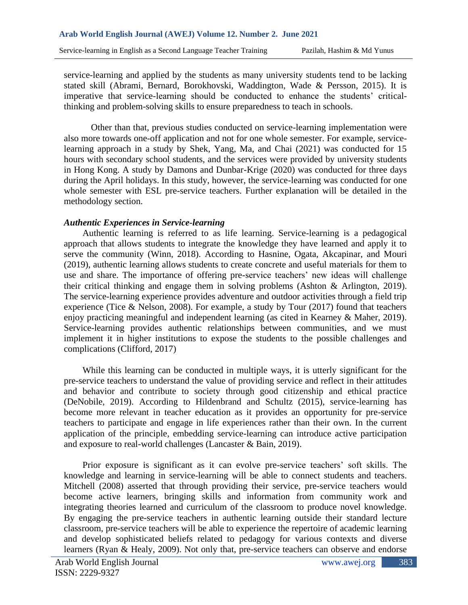service-learning and applied by the students as many university students tend to be lacking stated skill (Abrami, Bernard, Borokhovski, Waddington, Wade & Persson, 2015). It is imperative that service-learning should be conducted to enhance the students' criticalthinking and problem-solving skills to ensure preparedness to teach in schools.

Other than that, previous studies conducted on service-learning implementation were also more towards one-off application and not for one whole semester. For example, servicelearning approach in a study by Shek, Yang, Ma, and Chai (2021) was conducted for 15 hours with secondary school students, and the services were provided by university students in Hong Kong. A study by Damons and Dunbar-Krige (2020) was conducted for three days during the April holidays. In this study, however, the service-learning was conducted for one whole semester with ESL pre-service teachers. Further explanation will be detailed in the methodology section.

## *Authentic Experiences in Service-learning*

Authentic learning is referred to as life learning. Service-learning is a pedagogical approach that allows students to integrate the knowledge they have learned and apply it to serve the community (Winn, 2018). According to Hasnine, Ogata, Akcapinar, and Mouri (2019), authentic learning allows students to create concrete and useful materials for them to use and share. The importance of offering pre-service teachers' new ideas will challenge their critical thinking and engage them in solving problems (Ashton & Arlington, 2019). The service-learning experience provides adventure and outdoor activities through a field trip experience (Tice & Nelson, 2008). For example, a study by Tour (2017) found that teachers enjoy practicing meaningful and independent learning (as cited in Kearney & Maher, 2019). Service-learning provides authentic relationships between communities, and we must implement it in higher institutions to expose the students to the possible challenges and complications (Clifford, 2017)

While this learning can be conducted in multiple ways, it is utterly significant for the pre-service teachers to understand the value of providing service and reflect in their attitudes and behavior and contribute to society through good citizenship and ethical practice (DeNobile, 2019). According to Hildenbrand and Schultz (2015), service-learning has become more relevant in teacher education as it provides an opportunity for pre-service teachers to participate and engage in life experiences rather than their own. In the current application of the principle, embedding service-learning can introduce active participation and exposure to real-world challenges (Lancaster & Bain, 2019).

Prior exposure is significant as it can evolve pre-service teachers' soft skills. The knowledge and learning in service-learning will be able to connect students and teachers. Mitchell (2008) asserted that through providing their service, pre-service teachers would become active learners, bringing skills and information from community work and integrating theories learned and curriculum of the classroom to produce novel knowledge. By engaging the pre-service teachers in authentic learning outside their standard lecture classroom, pre-service teachers will be able to experience the repertoire of academic learning and develop sophisticated beliefs related to pedagogy for various contexts and diverse learners (Ryan & Healy, 2009). Not only that, pre-service teachers can observe and endorse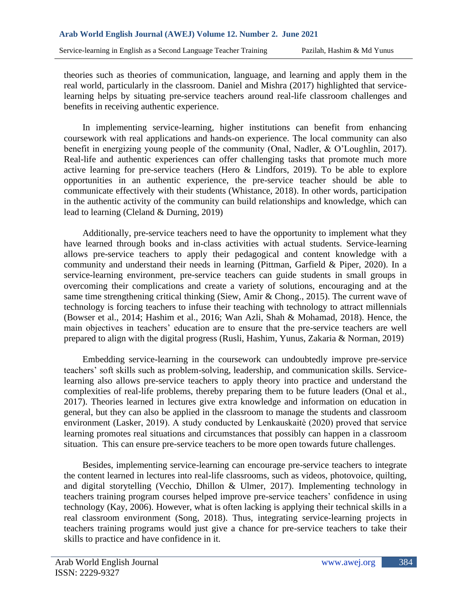theories such as theories of communication, language, and learning and apply them in the real world, particularly in the classroom. Daniel and Mishra (2017) highlighted that servicelearning helps by situating pre-service teachers around real-life classroom challenges and benefits in receiving authentic experience.

In implementing service-learning, higher institutions can benefit from enhancing coursework with real applications and hands-on experience. The local community can also benefit in energizing young people of the community (Onal, Nadler, & O'Loughlin, 2017). Real-life and authentic experiences can offer challenging tasks that promote much more active learning for pre-service teachers (Hero & Lindfors, 2019). To be able to explore opportunities in an authentic experience, the pre-service teacher should be able to communicate effectively with their students (Whistance, 2018). In other words, participation in the authentic activity of the community can build relationships and knowledge, which can lead to learning (Cleland & Durning, 2019)

Additionally, pre-service teachers need to have the opportunity to implement what they have learned through books and in-class activities with actual students. Service-learning allows pre-service teachers to apply their pedagogical and content knowledge with a community and understand their needs in learning (Pittman, Garfield & Piper, 2020). In a service-learning environment, pre-service teachers can guide students in small groups in overcoming their complications and create a variety of solutions, encouraging and at the same time strengthening critical thinking (Siew, Amir & Chong., 2015). The current wave of technology is forcing teachers to infuse their teaching with technology to attract millennials (Bowser et al., 2014; Hashim et al., 2016; Wan Azli, Shah & Mohamad, 2018). Hence, the main objectives in teachers' education are to ensure that the pre-service teachers are well prepared to align with the digital progress (Rusli, Hashim, Yunus, Zakaria & Norman, 2019)

Embedding service-learning in the coursework can undoubtedly improve pre-service teachers' soft skills such as problem-solving, leadership, and communication skills. Servicelearning also allows pre-service teachers to apply theory into practice and understand the complexities of real-life problems, thereby preparing them to be future leaders (Onal et al., 2017). Theories learned in lectures give extra knowledge and information on education in general, but they can also be applied in the classroom to manage the students and classroom environment (Lasker, 2019). A study conducted by Lenkauskaitė (2020) proved that service learning promotes real situations and circumstances that possibly can happen in a classroom situation. This can ensure pre-service teachers to be more open towards future challenges.

Besides, implementing service-learning can encourage pre-service teachers to integrate the content learned in lectures into real-life classrooms, such as videos, photovoice, quilting, and digital storytelling (Vecchio, Dhillon & Ulmer, 2017). Implementing technology in teachers training program courses helped improve pre-service teachers' confidence in using technology (Kay, 2006). However, what is often lacking is applying their technical skills in a real classroom environment (Song, 2018). Thus, integrating service-learning projects in teachers training programs would just give a chance for pre-service teachers to take their skills to practice and have confidence in it.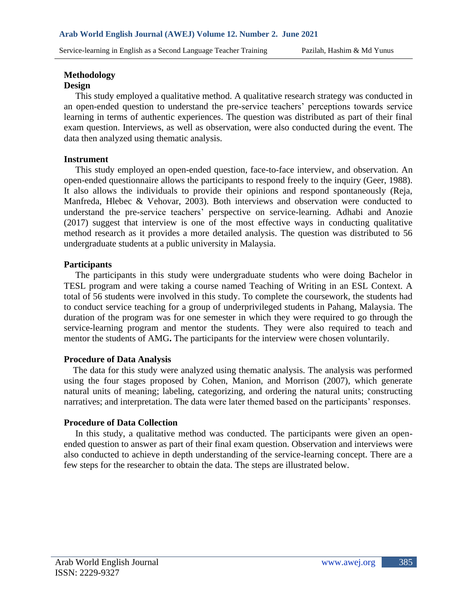#### **Methodology**

#### **Design**

This study employed a qualitative method. A qualitative research strategy was conducted in an open-ended question to understand the pre-service teachers' perceptions towards service learning in terms of authentic experiences. The question was distributed as part of their final exam question. Interviews, as well as observation, were also conducted during the event. The data then analyzed using thematic analysis.

#### **Instrument**

This study employed an open-ended question, face-to-face interview, and observation. An open-ended questionnaire allows the participants to respond freely to the inquiry (Geer, 1988). It also allows the individuals to provide their opinions and respond spontaneously (Reja, Manfreda, Hlebec & Vehovar, 2003). Both interviews and observation were conducted to understand the pre-service teachers' perspective on service-learning. Adhabi and Anozie (2017) suggest that interview is one of the most effective ways in conducting qualitative method research as it provides a more detailed analysis. The question was distributed to 56 undergraduate students at a public university in Malaysia.

#### **Participants**

The participants in this study were undergraduate students who were doing Bachelor in TESL program and were taking a course named Teaching of Writing in an ESL Context. A total of 56 students were involved in this study. To complete the coursework, the students had to conduct service teaching for a group of underprivileged students in Pahang, Malaysia. The duration of the program was for one semester in which they were required to go through the service-learning program and mentor the students. They were also required to teach and mentor the students of AMG**.** The participants for the interview were chosen voluntarily.

## **Procedure of Data Analysis**

The data for this study were analyzed using thematic analysis. The analysis was performed using the four stages proposed by Cohen, Manion, and Morrison (2007), which generate natural units of meaning; labeling, categorizing, and ordering the natural units; constructing narratives; and interpretation. The data were later themed based on the participants' responses.

## **Procedure of Data Collection**

In this study, a qualitative method was conducted. The participants were given an openended question to answer as part of their final exam question. Observation and interviews were also conducted to achieve in depth understanding of the service-learning concept. There are a few steps for the researcher to obtain the data. The steps are illustrated below.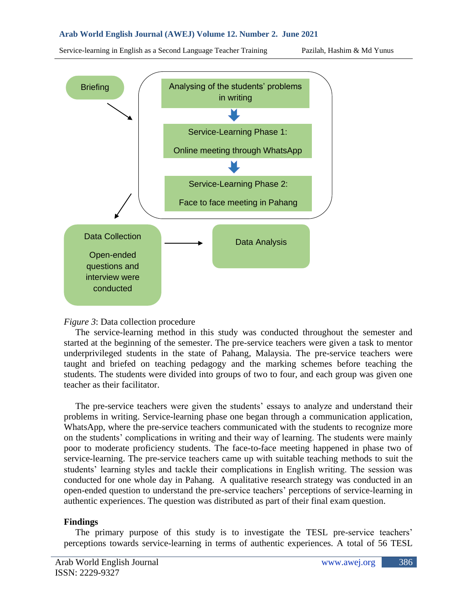Service-learning in English as a Second Language Teacher Training Pazilah, Hashim & Md Yunus



## *Figure 3*: Data collection procedure

 The service-learning method in this study was conducted throughout the semester and started at the beginning of the semester. The pre-service teachers were given a task to mentor underprivileged students in the state of Pahang, Malaysia. The pre-service teachers were taught and briefed on teaching pedagogy and the marking schemes before teaching the students. The students were divided into groups of two to four, and each group was given one teacher as their facilitator.

 The pre-service teachers were given the students' essays to analyze and understand their problems in writing. Service-learning phase one began through a communication application, WhatsApp, where the pre-service teachers communicated with the students to recognize more on the students' complications in writing and their way of learning. The students were mainly poor to moderate proficiency students. The face-to-face meeting happened in phase two of service-learning. The pre-service teachers came up with suitable teaching methods to suit the students' learning styles and tackle their complications in English writing. The session was conducted for one whole day in Pahang. A qualitative research strategy was conducted in an open-ended question to understand the pre-service teachers' perceptions of service-learning in authentic experiences. The question was distributed as part of their final exam question.

#### **Findings**

 The primary purpose of this study is to investigate the TESL pre-service teachers' perceptions towards service-learning in terms of authentic experiences. A total of 56 TESL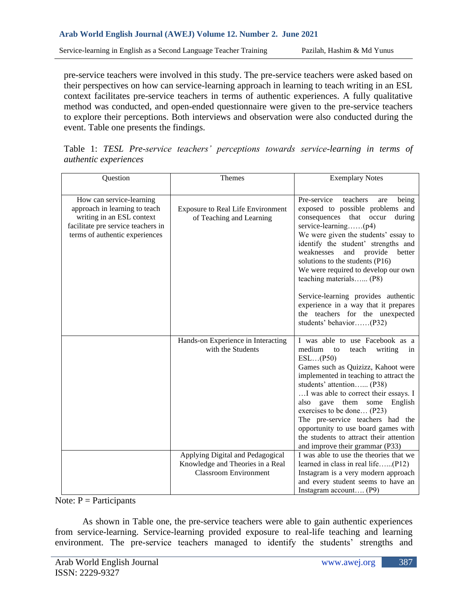pre-service teachers were involved in this study. The pre-service teachers were asked based on their perspectives on how can service-learning approach in learning to teach writing in an ESL context facilitates pre-service teachers in terms of authentic experiences. A fully qualitative method was conducted, and open-ended questionnaire were given to the pre-service teachers to explore their perceptions. Both interviews and observation were also conducted during the event. Table one presents the findings.

|                              |  |  |  |  |  |  | Table 1: TESL Pre-service teachers' perceptions towards service-learning in terms of |  |  |  |  |
|------------------------------|--|--|--|--|--|--|--------------------------------------------------------------------------------------|--|--|--|--|
| <i>authentic experiences</i> |  |  |  |  |  |  |                                                                                      |  |  |  |  |

| Question                                                                                                                                                       | Themes                                                                                               | <b>Exemplary Notes</b>                                                                                                                                                                                                                                                                                                                                                                                                                                               |  |  |
|----------------------------------------------------------------------------------------------------------------------------------------------------------------|------------------------------------------------------------------------------------------------------|----------------------------------------------------------------------------------------------------------------------------------------------------------------------------------------------------------------------------------------------------------------------------------------------------------------------------------------------------------------------------------------------------------------------------------------------------------------------|--|--|
| How can service-learning<br>approach in learning to teach<br>writing in an ESL context<br>facilitate pre service teachers in<br>terms of authentic experiences | <b>Exposure to Real Life Environment</b><br>of Teaching and Learning                                 | Pre-service<br>teachers<br>being<br>are<br>exposed to possible problems and<br>consequences that occur<br>during<br>service-learning $(p4)$<br>We were given the students' essay to<br>identify the student' strengths and<br>weaknesses<br>and<br>provide<br>better<br>solutions to the students (P16)<br>We were required to develop our own<br>teaching materials (P8)<br>Service-learning provides authentic<br>experience in a way that it prepares             |  |  |
|                                                                                                                                                                |                                                                                                      | the teachers for the unexpected<br>students' behavior(P32)                                                                                                                                                                                                                                                                                                                                                                                                           |  |  |
|                                                                                                                                                                | Hands-on Experience in Interacting<br>with the Students                                              | I was able to use Facebook as a<br>medium<br>teach<br>writing<br>to<br>in<br>ESL(P50)<br>Games such as Quizizz, Kahoot were<br>implemented in teaching to attract the<br>students' attention (P38)<br>I was able to correct their essays. I<br>also gave them some<br>English<br>exercises to be done (P23)<br>The pre-service teachers had the<br>opportunity to use board games with<br>the students to attract their attention<br>and improve their grammar (P33) |  |  |
|                                                                                                                                                                | Applying Digital and Pedagogical<br>Knowledge and Theories in a Real<br><b>Classroom Environment</b> | I was able to use the theories that we<br>learned in class in real life(P12)<br>Instagram is a very modern approach                                                                                                                                                                                                                                                                                                                                                  |  |  |
|                                                                                                                                                                |                                                                                                      | and every student seems to have an<br>Instagram account $(P9)$                                                                                                                                                                                                                                                                                                                                                                                                       |  |  |

#### Note:  $P =$  Participants

As shown in Table one, the pre-service teachers were able to gain authentic experiences from service-learning. Service-learning provided exposure to real-life teaching and learning environment. The pre-service teachers managed to identify the students' strengths and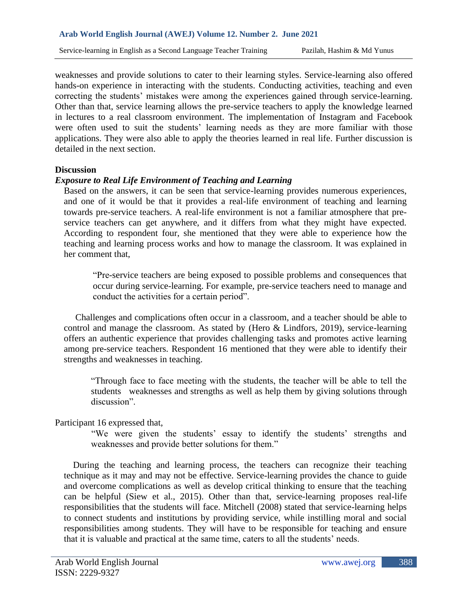weaknesses and provide solutions to cater to their learning styles. Service-learning also offered hands-on experience in interacting with the students. Conducting activities, teaching and even correcting the students' mistakes were among the experiences gained through service-learning. Other than that, service learning allows the pre-service teachers to apply the knowledge learned in lectures to a real classroom environment. The implementation of Instagram and Facebook were often used to suit the students' learning needs as they are more familiar with those applications. They were also able to apply the theories learned in real life. Further discussion is detailed in the next section.

#### **Discussion**

## *Exposure to Real Life Environment of Teaching and Learning*

Based on the answers, it can be seen that service-learning provides numerous experiences, and one of it would be that it provides a real-life environment of teaching and learning towards pre-service teachers. A real-life environment is not a familiar atmosphere that preservice teachers can get anywhere, and it differs from what they might have expected. According to respondent four, she mentioned that they were able to experience how the teaching and learning process works and how to manage the classroom. It was explained in her comment that,

"Pre-service teachers are being exposed to possible problems and consequences that occur during service-learning. For example, pre-service teachers need to manage and conduct the activities for a certain period".

 Challenges and complications often occur in a classroom, and a teacher should be able to control and manage the classroom. As stated by (Hero & Lindfors, 2019), service-learning offers an authentic experience that provides challenging tasks and promotes active learning among pre-service teachers. Respondent 16 mentioned that they were able to identify their strengths and weaknesses in teaching.

"Through face to face meeting with the students, the teacher will be able to tell the students weaknesses and strengths as well as help them by giving solutions through discussion".

Participant 16 expressed that,

"We were given the students' essay to identify the students' strengths and weaknesses and provide better solutions for them."

 During the teaching and learning process, the teachers can recognize their teaching technique as it may and may not be effective. Service-learning provides the chance to guide and overcome complications as well as develop critical thinking to ensure that the teaching can be helpful (Siew et al., 2015). Other than that, service-learning proposes real-life responsibilities that the students will face. Mitchell (2008) stated that service-learning helps to connect students and institutions by providing service, while instilling moral and social responsibilities among students. They will have to be responsible for teaching and ensure that it is valuable and practical at the same time, caters to all the students' needs.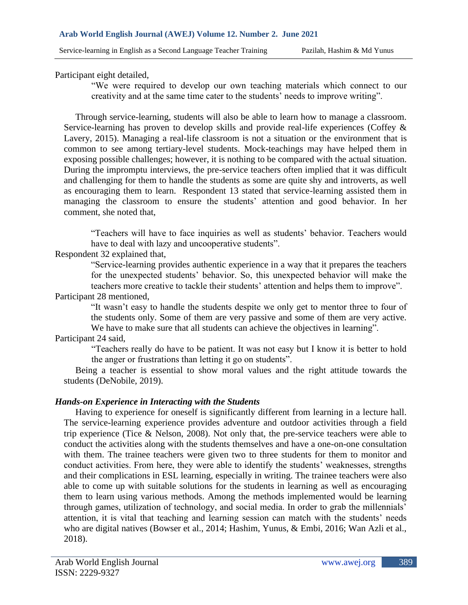Participant eight detailed,

"We were required to develop our own teaching materials which connect to our creativity and at the same time cater to the students' needs to improve writing".

 Through service-learning, students will also be able to learn how to manage a classroom. Service-learning has proven to develop skills and provide real-life experiences (Coffey & Lavery, 2015). Managing a real-life classroom is not a situation or the environment that is common to see among tertiary-level students. Mock-teachings may have helped them in exposing possible challenges; however, it is nothing to be compared with the actual situation. During the impromptu interviews, the pre-service teachers often implied that it was difficult and challenging for them to handle the students as some are quite shy and introverts, as well as encouraging them to learn. Respondent 13 stated that service-learning assisted them in managing the classroom to ensure the students' attention and good behavior. In her comment, she noted that,

"Teachers will have to face inquiries as well as students' behavior. Teachers would have to deal with lazy and uncooperative students".

# Respondent 32 explained that,

"Service-learning provides authentic experience in a way that it prepares the teachers for the unexpected students' behavior. So, this unexpected behavior will make the teachers more creative to tackle their students' attention and helps them to improve".

Participant 28 mentioned,

"It wasn't easy to handle the students despite we only get to mentor three to four of the students only. Some of them are very passive and some of them are very active. We have to make sure that all students can achieve the objectives in learning".

# Participant 24 said,

"Teachers really do have to be patient. It was not easy but I know it is better to hold the anger or frustrations than letting it go on students".

 Being a teacher is essential to show moral values and the right attitude towards the students (DeNobile, 2019).

## *Hands-on Experience in Interacting with the Students*

 Having to experience for oneself is significantly different from learning in a lecture hall. The service-learning experience provides adventure and outdoor activities through a field trip experience (Tice & Nelson, 2008). Not only that, the pre-service teachers were able to conduct the activities along with the students themselves and have a one-on-one consultation with them. The trainee teachers were given two to three students for them to monitor and conduct activities. From here, they were able to identify the students' weaknesses, strengths and their complications in ESL learning, especially in writing. The trainee teachers were also able to come up with suitable solutions for the students in learning as well as encouraging them to learn using various methods. Among the methods implemented would be learning through games, utilization of technology, and social media. In order to grab the millennials' attention, it is vital that teaching and learning session can match with the students' needs who are digital natives (Bowser et al., 2014; Hashim, Yunus, & Embi, 2016; Wan Azli et al., 2018).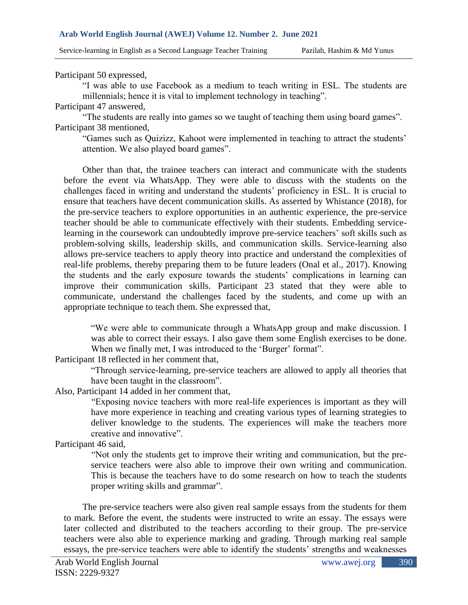Service-learning in English as a Second Language Teacher Training Pazilah, Hashim & Md Yunus

Participant 50 expressed,

"I was able to use Facebook as a medium to teach writing in ESL. The students are millennials; hence it is vital to implement technology in teaching".

Participant 47 answered,

"The students are really into games so we taught of teaching them using board games". Participant 38 mentioned,

"Games such as Quizizz, Kahoot were implemented in teaching to attract the students' attention. We also played board games".

Other than that, the trainee teachers can interact and communicate with the students before the event via WhatsApp. They were able to discuss with the students on the challenges faced in writing and understand the students' proficiency in ESL. It is crucial to ensure that teachers have decent communication skills. As asserted by Whistance (2018), for the pre-service teachers to explore opportunities in an authentic experience, the pre-service teacher should be able to communicate effectively with their students. Embedding servicelearning in the coursework can undoubtedly improve pre-service teachers' soft skills such as problem-solving skills, leadership skills, and communication skills. Service-learning also allows pre-service teachers to apply theory into practice and understand the complexities of real-life problems, thereby preparing them to be future leaders (Onal et al., 2017). Knowing the students and the early exposure towards the students' complications in learning can improve their communication skills. Participant 23 stated that they were able to communicate, understand the challenges faced by the students, and come up with an appropriate technique to teach them. She expressed that,

"We were able to communicate through a WhatsApp group and make discussion. I was able to correct their essays. I also gave them some English exercises to be done. When we finally met, I was introduced to the 'Burger' format".

Participant 18 reflected in her comment that,

"Through service-learning, pre-service teachers are allowed to apply all theories that have been taught in the classroom".

Also, Participant 14 added in her comment that,

"Exposing novice teachers with more real-life experiences is important as they will have more experience in teaching and creating various types of learning strategies to deliver knowledge to the students. The experiences will make the teachers more creative and innovative".

Participant 46 said,

"Not only the students get to improve their writing and communication, but the preservice teachers were also able to improve their own writing and communication. This is because the teachers have to do some research on how to teach the students proper writing skills and grammar".

The pre-service teachers were also given real sample essays from the students for them to mark. Before the event, the students were instructed to write an essay. The essays were later collected and distributed to the teachers according to their group. The pre-service teachers were also able to experience marking and grading. Through marking real sample essays, the pre-service teachers were able to identify the students' strengths and weaknesses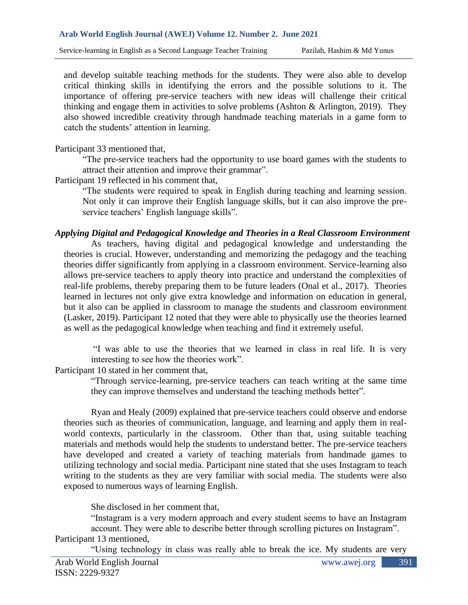and develop suitable teaching methods for the students. They were also able to develop critical thinking skills in identifying the errors and the possible solutions to it. The importance of offering pre-service teachers with new ideas will challenge their critical thinking and engage them in activities to solve problems (Ashton & Arlington, 2019). They also showed incredible creativity through handmade teaching materials in a game form to catch the students' attention in learning.

Participant 33 mentioned that,

"The pre-service teachers had the opportunity to use board games with the students to attract their attention and improve their grammar".

Participant 19 reflected in his comment that,

"The students were required to speak in English during teaching and learning session. Not only it can improve their English language skills, but it can also improve the preservice teachers' English language skills".

# *Applying Digital and Pedagogical Knowledge and Theories in a Real Classroom Environment*

As teachers, having digital and pedagogical knowledge and understanding the theories is crucial. However, understanding and memorizing the pedagogy and the teaching theories differ significantly from applying in a classroom environment. Service-learning also allows pre-service teachers to apply theory into practice and understand the complexities of real-life problems, thereby preparing them to be future leaders (Onal et al., 2017). Theories learned in lectures not only give extra knowledge and information on education in general, but it also can be applied in classroom to manage the students and classroom environment (Lasker, 2019). Participant 12 noted that they were able to physically use the theories learned as well as the pedagogical knowledge when teaching and find it extremely useful.

"I was able to use the theories that we learned in class in real life. It is very interesting to see how the theories work".

Participant 10 stated in her comment that,

"Through service-learning, pre-service teachers can teach writing at the same time they can improve themselves and understand the teaching methods better".

Ryan and Healy (2009) explained that pre-service teachers could observe and endorse theories such as theories of communication, language, and learning and apply them in realworld contexts, particularly in the classroom. Other than that, using suitable teaching materials and methods would help the students to understand better. The pre-service teachers have developed and created a variety of teaching materials from handmade games to utilizing technology and social media. Participant nine stated that she uses Instagram to teach writing to the students as they are very familiar with social media. The students were also exposed to numerous ways of learning English.

She disclosed in her comment that,

"Instagram is a very modern approach and every student seems to have an Instagram account. They were able to describe better through scrolling pictures on Instagram". Participant 13 mentioned,

"Using technology in class was really able to break the ice. My students are very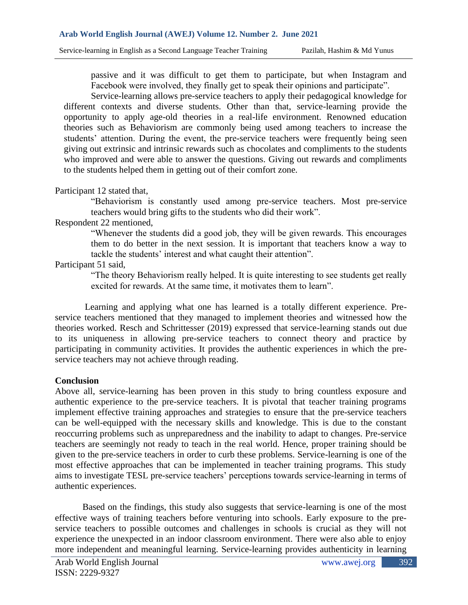passive and it was difficult to get them to participate, but when Instagram and Facebook were involved, they finally get to speak their opinions and participate".

Service-learning allows pre-service teachers to apply their pedagogical knowledge for different contexts and diverse students. Other than that, service-learning provide the opportunity to apply age-old theories in a real-life environment. Renowned education theories such as Behaviorism are commonly being used among teachers to increase the students' attention. During the event, the pre-service teachers were frequently being seen giving out extrinsic and intrinsic rewards such as chocolates and compliments to the students who improved and were able to answer the questions. Giving out rewards and compliments to the students helped them in getting out of their comfort zone.

#### Participant 12 stated that,

"Behaviorism is constantly used among pre-service teachers. Most pre-service teachers would bring gifts to the students who did their work".

## Respondent 22 mentioned,

"Whenever the students did a good job, they will be given rewards. This encourages them to do better in the next session. It is important that teachers know a way to tackle the students' interest and what caught their attention".

# Participant 51 said,

"The theory Behaviorism really helped. It is quite interesting to see students get really excited for rewards. At the same time, it motivates them to learn".

Learning and applying what one has learned is a totally different experience. Preservice teachers mentioned that they managed to implement theories and witnessed how the theories worked. Resch and Schrittesser (2019) expressed that service-learning stands out due to its uniqueness in allowing pre-service teachers to connect theory and practice by participating in community activities. It provides the authentic experiences in which the preservice teachers may not achieve through reading.

## **Conclusion**

Above all, service-learning has been proven in this study to bring countless exposure and authentic experience to the pre-service teachers. It is pivotal that teacher training programs implement effective training approaches and strategies to ensure that the pre-service teachers can be well-equipped with the necessary skills and knowledge. This is due to the constant reoccurring problems such as unpreparedness and the inability to adapt to changes. Pre-service teachers are seemingly not ready to teach in the real world. Hence, proper training should be given to the pre-service teachers in order to curb these problems. Service-learning is one of the most effective approaches that can be implemented in teacher training programs. This study aims to investigate TESL pre-service teachers' perceptions towards service-learning in terms of authentic experiences.

Based on the findings, this study also suggests that service-learning is one of the most effective ways of training teachers before venturing into schools. Early exposure to the preservice teachers to possible outcomes and challenges in schools is crucial as they will not experience the unexpected in an indoor classroom environment. There were also able to enjoy more independent and meaningful learning. Service-learning provides authenticity in learning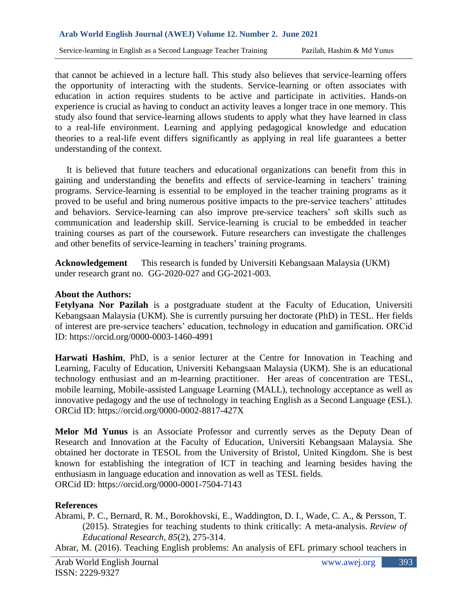Service-learning in English as a Second Language Teacher Training Pazilah, Hashim & Md Yunus

that cannot be achieved in a lecture hall. This study also believes that service-learning offers the opportunity of interacting with the students. Service-learning or often associates with education in action requires students to be active and participate in activities. Hands-on experience is crucial as having to conduct an activity leaves a longer trace in one memory. This study also found that service-learning allows students to apply what they have learned in class to a real-life environment. Learning and applying pedagogical knowledge and education theories to a real-life event differs significantly as applying in real life guarantees a better understanding of the context.

 It is believed that future teachers and educational organizations can benefit from this in gaining and understanding the benefits and effects of service-learning in teachers' training programs. Service-learning is essential to be employed in the teacher training programs as it proved to be useful and bring numerous positive impacts to the pre-service teachers' attitudes and behaviors. Service-learning can also improve pre-service teachers' soft skills such as communication and leadership skill. Service-learning is crucial to be embedded in teacher training courses as part of the coursework. Future researchers can investigate the challenges and other benefits of service-learning in teachers' training programs.

**Acknowledgement** This research is funded by Universiti Kebangsaan Malaysia (UKM) under research grant no. GG-2020-027 and GG-2021-003.

#### **About the Authors:**

**Fetylyana Nor Pazilah** is a postgraduate student at the Faculty of Education, Universiti Kebangsaan Malaysia (UKM). She is currently pursuing her doctorate (PhD) in TESL. Her fields of interest are pre-service teachers' education, technology in education and gamification. ORCid ID:<https://orcid.org/0000-0003-1460-4991>

**Harwati Hashim**, PhD, is a senior lecturer at the Centre for Innovation in Teaching and Learning, Faculty of Education, Universiti Kebangsaan Malaysia (UKM). She is an educational technology enthusiast and an m-learning practitioner. Her areas of concentration are TESL, mobile learning, Mobile-assisted Language Learning (MALL), technology acceptance as well as innovative pedagogy and the use of technology in teaching English as a Second Language (ESL). ORCid ID:<https://orcid.org/0000-0002-8817-427X>

**Melor Md Yunus** is an Associate Professor and currently serves as the Deputy Dean of Research and Innovation at the Faculty of Education, Universiti Kebangsaan Malaysia. She obtained her doctorate in TESOL from the University of Bristol, United Kingdom. She is best known for establishing the integration of ICT in teaching and learning besides having the enthusiasm in language education and innovation as well as TESL fields. ORCid ID:<https://orcid.org/0000-0001-7504-7143>

#### **References**

Abrami, P. C., Bernard, R. M., Borokhovski, E., Waddington, D. I., Wade, C. A., & Persson, T. (2015). Strategies for teaching students to think critically: A meta-analysis. *Review of Educational Research*, *85*(2), 275-314.

Abrar, M. (2016). Teaching English problems: An analysis of EFL primary school teachers in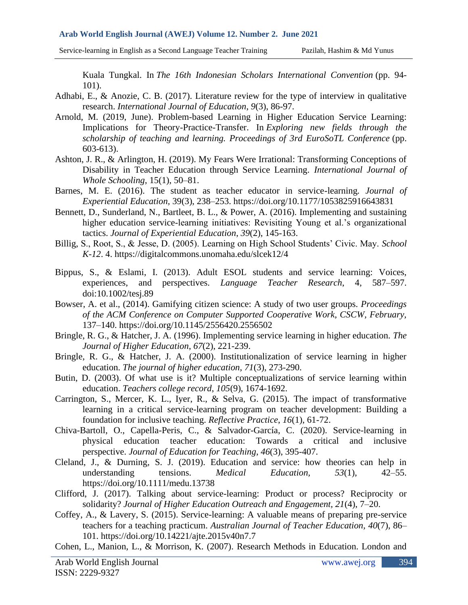Service-learning in English as a Second Language Teacher Training Pazilah, Hashim & Md Yunus

Kuala Tungkal. In *The 16th Indonesian Scholars International Convention* (pp. 94- 101).

- Adhabi, E., & Anozie, C. B. (2017). Literature review for the type of interview in qualitative research. *International Journal of Education*, *9*(3), 86-97.
- Arnold, M. (2019, June). Problem-based Learning in Higher Education Service Learning: Implications for Theory-Practice-Transfer. In *Exploring new fields through the scholarship of teaching and learning. Proceedings of 3rd EuroSoTL Conference* (pp. 603-613).
- Ashton, J. R., & Arlington, H. (2019). My Fears Were Irrational: Transforming Conceptions of Disability in Teacher Education through Service Learning. *International Journal of Whole Schooling*, 15(1), 50–81.
- Barnes, M. E. (2016). The student as teacher educator in service-learning*. Journal of Experiential Education,* 39(3), 238–253. https://doi.org/10.1177/1053825916643831
- Bennett, D., Sunderland, N., Bartleet, B. L., & Power, A. (2016). Implementing and sustaining higher education service-learning initiatives: Revisiting Young et al.'s organizational tactics. *Journal of Experiential Education*, *39*(2), 145-163.
- Billig, S., Root, S., & Jesse, D. (2005). Learning on High School Students' Civic. May. *School K-12*. 4. https://digitalcommons.unomaha.edu/slcek12/4
- Bippus, S., & Eslami, I. (2013). Adult ESOL students and service learning: Voices, experiences, and perspectives. *Language Teacher Research*, 4, 587–597. doi:10.1002/tesj.89
- Bowser, A. et al., (2014). Gamifying citizen science: A study of two user groups. *Proceedings of the ACM Conference on Computer Supported Cooperative Work, CSCW, February,* 137–140. https://doi.org/10.1145/2556420.2556502
- Bringle, R. G., & Hatcher, J. A. (1996). Implementing service learning in higher education. *The Journal of Higher Education*, *67*(2), 221-239.
- Bringle, R. G., & Hatcher, J. A. (2000). Institutionalization of service learning in higher education. *The journal of higher education*, *71*(3), 273-290.
- Butin, D. (2003). Of what use is it? Multiple conceptualizations of service learning within education. *Teachers college record*, *105*(9), 1674-1692.
- Carrington, S., Mercer, K. L., Iyer, R., & Selva, G. (2015). The impact of transformative learning in a critical service-learning program on teacher development: Building a foundation for inclusive teaching. *Reflective Practice*, *16*(1), 61-72.
- Chiva-Bartoll, O., Capella-Peris, C., & Salvador-García, C. (2020). Service-learning in physical education teacher education: Towards a critical and inclusive perspective. *Journal of Education for Teaching*, *46*(3), 395-407.
- Cleland, J., & Durning, S. J. (2019). Education and service: how theories can help in understanding tensions. *Medical Education, 53*(1), 42–55. https://doi.org/10.1111/medu.13738
- Clifford, J. (2017). Talking about service-learning: Product or process? Reciprocity or solidarity? *Journal of Higher Education Outreach and Engagement, 21*(4), 7–20.
- Coffey, A., & Lavery, S. (2015). Service-learning: A valuable means of preparing pre-service teachers for a teaching practicum. *Australian Journal of Teacher Education, 40*(7), 86– 101. https://doi.org/10.14221/ajte.2015v40n7.7
- Cohen, L., Manion, L., & Morrison, K. (2007). Research Methods in Education. London and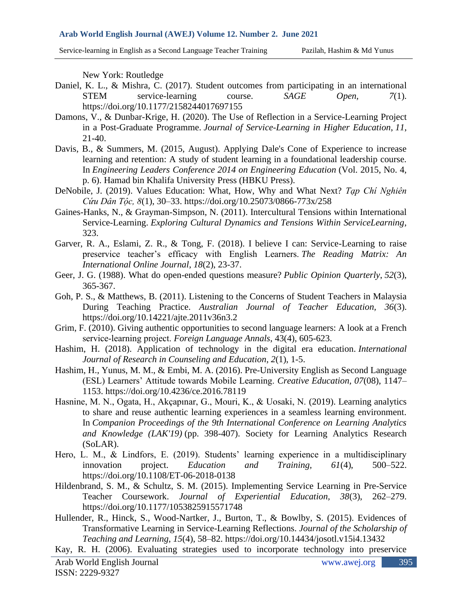Service-learning in English as a Second Language Teacher Training Pazilah, Hashim & Md Yunus

New York: Routledge

- Daniel, K. L., & Mishra, C. (2017). Student outcomes from participating in an international STEM service-learning course. *SAGE Open, 7*(1). https://doi.org/10.1177/2158244017697155
- Damons, V., & Dunbar-Krige, H. (2020). The Use of Reflection in a Service-Learning Project in a Post-Graduate Programme. *Journal of Service-Learning in Higher Education*, *11*, 21-40.
- Davis, B., & Summers, M. (2015, August). Applying Dale's Cone of Experience to increase learning and retention: A study of student learning in a foundational leadership course. In *Engineering Leaders Conference 2014 on Engineering Education* (Vol. 2015, No. 4, p. 6). Hamad bin Khalifa University Press (HBKU Press).
- DeNobile, J. (2019). Values Education: What, How, Why and What Next? *Tạp Chí Nghiên Cứu Dân Tộc, 8*(1), 30–33. https://doi.org/10.25073/0866-773x/258
- Gaines-Hanks, N., & Grayman-Simpson, N. (2011). Intercultural Tensions within International Service-Learning. *Exploring Cultural Dynamics and Tensions Within ServiceLearning*, 323.
- Garver, R. A., Eslami, Z. R., & Tong, F. (2018). I believe I can: Service-Learning to raise preservice teacher's efficacy with English Learners. *The Reading Matrix: An International Online Journal*, *18*(2), 23-37.
- Geer, J. G. (1988). What do open-ended questions measure? *Public Opinion Quarterly*, *52*(3), 365-367.
- Goh, P. S., & Matthews, B. (2011). Listening to the Concerns of Student Teachers in Malaysia During Teaching Practice. *Australian Journal of Teacher Education, 36*(3). https://doi.org/10.14221/ajte.2011v36n3.2
- Grim, F. (2010). Giving authentic opportunities to second language learners: A look at a French service‐learning project. *Foreign Language Annals*, 43(4), 605-623.
- Hashim, H. (2018). Application of technology in the digital era education. *International Journal of Research in Counseling and Education*, *2*(1), 1-5.
- Hashim, H., Yunus, M. M., & Embi, M. A. (2016). Pre-University English as Second Language (ESL) Learners' Attitude towards Mobile Learning. *Creative Education, 07*(08), 1147– 1153. https://doi.org/10.4236/ce.2016.78119
- Hasnine, M. N., Ogata, H., Akçapınar, G., Mouri, K., & Uosaki, N. (2019). Learning analytics to share and reuse authentic learning experiences in a seamless learning environment. In *Companion Proceedings of the 9th International Conference on Learning Analytics and Knowledge (LAK'19)* (pp. 398-407). Society for Learning Analytics Research (SoLAR).
- Hero, L. M., & Lindfors, E. (2019). Students' learning experience in a multidisciplinary innovation project. *Education and Training, 61*(4), 500–522. https://doi.org/10.1108/ET-06-2018-0138
- Hildenbrand, S. M., & Schultz, S. M. (2015). Implementing Service Learning in Pre-Service Teacher Coursework. *Journal of Experiential Education, 38*(3), 262–279. https://doi.org/10.1177/1053825915571748
- Hullender, R., Hinck, S., Wood-Nartker, J., Burton, T., & Bowlby, S. (2015). Evidences of Transformative Learning in Service-Learning Reflections. *Journal of the Scholarship of Teaching and Learning, 15*(4), 58–82. https://doi.org/10.14434/josotl.v15i4.13432
- Kay, R. H. (2006). Evaluating strategies used to incorporate technology into preservice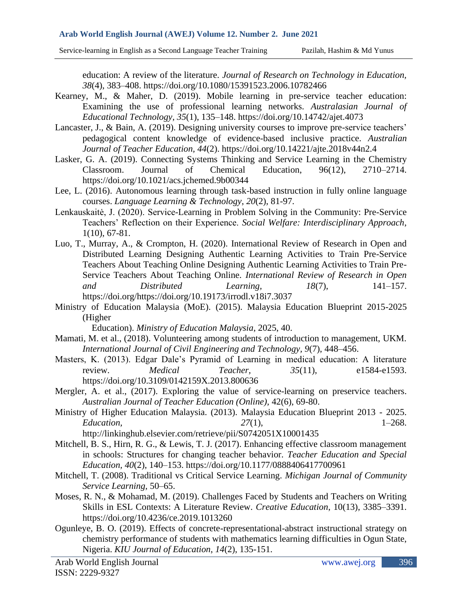Service-learning in English as a Second Language Teacher Training Pazilah, Hashim & Md Yunus

education: A review of the literature. *Journal of Research on Technology in Education, 38*(4), 383–408. https://doi.org/10.1080/15391523.2006.10782466

- Kearney, M., & Maher, D. (2019). Mobile learning in pre-service teacher education: Examining the use of professional learning networks. *Australasian Journal of Educational Technology, 35*(1), 135–148. https://doi.org/10.14742/ajet.4073
- Lancaster, J., & Bain, A. (2019). Designing university courses to improve pre-service teachers' pedagogical content knowledge of evidence-based inclusive practice. *Australian Journal of Teacher Education, 44*(2).<https://doi.org/10.14221/ajte.2018v44n2.4>
- Lasker, G. A. (2019). Connecting Systems Thinking and Service Learning in the Chemistry Classroom. Journal of Chemical Education, 96(12), 2710–2714. https://doi.org/10.1021/acs.jchemed.9b00344
- Lee, L. (2016). Autonomous learning through task-based instruction in fully online language courses. *Language Learning & Technology*, *20*(2), 81-97.
- Lenkauskaitė, J. (2020). Service-Learning in Problem Solving in the Community: Pre-Service Teachers' Reflection on their Experience. *Social Welfare: Interdisciplinary Approach*, 1(10), 67-81.
- Luo, T., Murray, A., & Crompton, H. (2020). International Review of Research in Open and Distributed Learning Designing Authentic Learning Activities to Train Pre-Service Teachers About Teaching Online Designing Authentic Learning Activities to Train Pre-Service Teachers About Teaching Online. *International Review of Research in Open and Distributed Learning, 18*(7), 141–157. [https://doi.org/https://doi.org/10.19173/irrodl.v18i7.3037](https://doi.org/https:/doi.org/10.19173/irrodl.v18i7.3037)
- Ministry of Education Malaysia (MoE). (2015). Malaysia Education Blueprint 2015-2025 (Higher

Education). *Ministry of Education Malaysia*, 2025, 40.

- Mamati, M. et al., (2018). Volunteering among students of introduction to management, UKM. *International Journal of Civil Engineering and Technology, 9*(7), 448–456.
- Masters, K. (2013). Edgar Dale's Pyramid of Learning in medical education: A literature review. *Medical Teacher, 35*(11), e1584-e1593. https://doi.org/10.3109/0142159X.2013.800636
- Mergler, A. et al., (2017). Exploring the value of service-learning on preservice teachers. *Australian Journal of Teacher Education (Online),* 42(6), 69-80.
- Ministry of Higher Education Malaysia. (2013). Malaysia Education Blueprint 2013 2025. *Education, 27*(1), 1–268.

http://linkinghub.elsevier.com/retrieve/pii/S0742051X10001435

- Mitchell, B. S., Hirn, R. G., & Lewis, T. J. (2017). Enhancing effective classroom management in schools: Structures for changing teacher behavior. *Teacher Education and Special Education, 40*(2), 140–153. https://doi.org/10.1177/0888406417700961
- Mitchell, T. (2008). Traditional vs Critical Service Learning. *Michigan Journal of Community Service Learning,* 50–65.
- Moses, R. N., & Mohamad, M. (2019). Challenges Faced by Students and Teachers on Writing Skills in ESL Contexts: A Literature Review. *Creative Education*, 10(13), 3385–3391. https://doi.org/10.4236/ce.2019.1013260
- Ogunleye, B. O. (2019). Effects of concrete-representational-abstract instructional strategy on chemistry performance of students with mathematics learning difficulties in Ogun State, Nigeria. *KIU Journal of Education*, *14*(2), 135-151.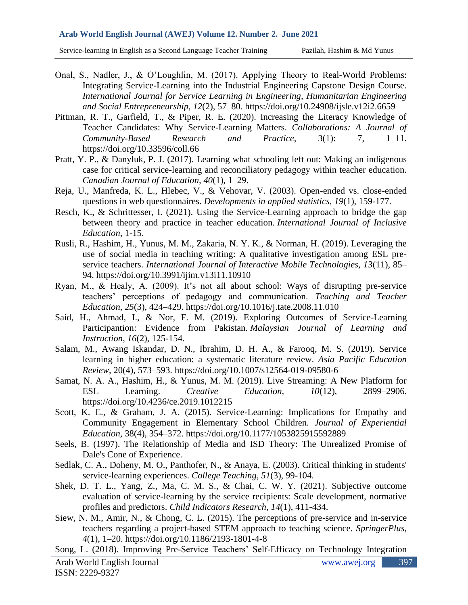Service-learning in English as a Second Language Teacher Training Pazilah, Hashim & Md Yunus

- Onal, S., Nadler, J., & O'Loughlin, M. (2017). Applying Theory to Real-World Problems: Integrating Service-Learning into the Industrial Engineering Capstone Design Course. *International Journal for Service Learning in Engineering, Humanitarian Engineering and Social Entrepreneurship, 12*(2), 57–80.<https://doi.org/10.24908/ijsle.v12i2.6659>
- Pittman, R. T., Garfield, T., & Piper, R. E. (2020). Increasing the Literacy Knowledge of Teacher Candidates: Why Service-Learning Matters. *Collaborations: A Journal of Community-Based Research and Practice*, 3(1): 7, 1–11. https://doi.org/10.33596/coll.66
- Pratt, Y. P., & Danyluk, P. J. (2017). Learning what schooling left out: Making an indigenous case for critical service-learning and reconciliatory pedagogy within teacher education. *Canadian Journal of Education, 40*(1), 1–29.
- Reja, U., Manfreda, K. L., Hlebec, V., & Vehovar, V. (2003). Open-ended vs. close-ended questions in web questionnaires. *Developments in applied statistics*, *19*(1), 159-177.
- Resch, K., & Schrittesser, I. (2021). Using the Service-Learning approach to bridge the gap between theory and practice in teacher education. *International Journal of Inclusive Education*, 1-15.
- Rusli, R., Hashim, H., Yunus, M. M., Zakaria, N. Y. K., & Norman, H. (2019). Leveraging the use of social media in teaching writing: A qualitative investigation among ESL preservice teachers. *International Journal of Interactive Mobile Technologies, 13*(11), 85– 94. https://doi.org/10.3991/ijim.v13i11.10910
- Ryan, M., & Healy, A. (2009). It's not all about school: Ways of disrupting pre-service teachers' perceptions of pedagogy and communication. *Teaching and Teacher Education, 25*(3), 424–429. https://doi.org/10.1016/j.tate.2008.11.010
- Said, H., Ahmad, I., & Nor, F. M. (2019). Exploring Outcomes of Service-Learning Participantion: Evidence from Pakistan. *Malaysian Journal of Learning and Instruction*, *16*(2), 125-154.
- Salam, M., Awang Iskandar, D. N., Ibrahim, D. H. A., & Farooq, M. S. (2019). Service learning in higher education: a systematic literature review. *Asia Pacific Education Review*, 20(4), 573–593. https://doi.org/10.1007/s12564-019-09580-6
- Samat, N. A. A., Hashim, H., & Yunus, M. M. (2019). Live Streaming: A New Platform for ESL Learning. *Creative Education, 10*(12), 2899–2906. https://doi.org/10.4236/ce.2019.1012215
- Scott, K. E., & Graham, J. A. (2015). Service-Learning: Implications for Empathy and Community Engagement in Elementary School Children. *Journal of Experiential Education,* 38(4), 354–372. https://doi.org/10.1177/1053825915592889
- Seels, B. (1997). The Relationship of Media and ISD Theory: The Unrealized Promise of Dale's Cone of Experience.
- Sedlak, C. A., Doheny, M. O., Panthofer, N., & Anaya, E. (2003). Critical thinking in students' service-learning experiences. *College Teaching*, *51*(3), 99-104.
- Shek, D. T. L., Yang, Z., Ma, C. M. S., & Chai, C. W. Y. (2021). Subjective outcome evaluation of service-learning by the service recipients: Scale development, normative profiles and predictors. *Child Indicators Research*, *14*(1), 411-434.
- Siew, N. M., Amir, N., & Chong, C. L. (2015). The perceptions of pre-service and in-service teachers regarding a project-based STEM approach to teaching science. *SpringerPlus, 4*(1), 1–20. https://doi.org/10.1186/2193-1801-4-8
- Song, L. (2018). Improving Pre-Service Teachers' Self-Efficacy on Technology Integration